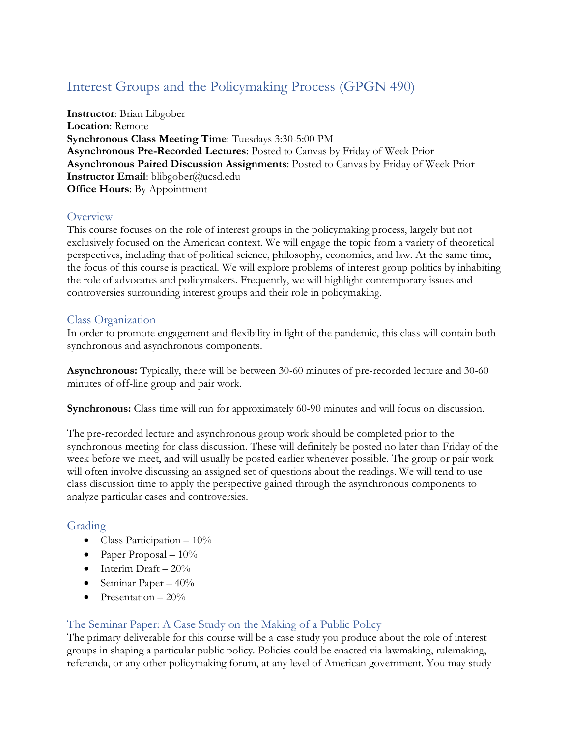# Interest Groups and the Policymaking Process (GPGN 490)

**Instructor**: Brian Libgober **Location**: Remote **Synchronous Class Meeting Time**: Tuesdays 3:30-5:00 PM **Asynchronous Pre-Recorded Lectures**: Posted to Canvas by Friday of Week Prior **Asynchronous Paired Discussion Assignments**: Posted to Canvas by Friday of Week Prior **Instructor Email**: blibgober@ucsd.edu **Office Hours**: By Appointment

# **Overview**

This course focuses on the role of interest groups in the policymaking process, largely but not exclusively focused on the American context. We will engage the topic from a variety of theoretical perspectives, including that of political science, philosophy, economics, and law. At the same time, the focus of this course is practical. We will explore problems of interest group politics by inhabiting the role of advocates and policymakers. Frequently, we will highlight contemporary issues and controversies surrounding interest groups and their role in policymaking.

#### Class Organization

In order to promote engagement and flexibility in light of the pandemic, this class will contain both synchronous and asynchronous components.

**Asynchronous:** Typically, there will be between 30-60 minutes of pre-recorded lecture and 30-60 minutes of off-line group and pair work.

**Synchronous:** Class time will run for approximately 60-90 minutes and will focus on discussion.

The pre-recorded lecture and asynchronous group work should be completed prior to the synchronous meeting for class discussion. These will definitely be posted no later than Friday of the week before we meet, and will usually be posted earlier whenever possible. The group or pair work will often involve discussing an assigned set of questions about the readings. We will tend to use class discussion time to apply the perspective gained through the asynchronous components to analyze particular cases and controversies.

# Grading

- Class Participation  $-10\%$
- Paper Proposal  $-10\%$
- Interim Draft  $20\%$
- Seminar Paper  $40\%$
- Presentation  $-20\%$

# The Seminar Paper: A Case Study on the Making of a Public Policy

The primary deliverable for this course will be a case study you produce about the role of interest groups in shaping a particular public policy. Policies could be enacted via lawmaking, rulemaking, referenda, or any other policymaking forum, at any level of American government. You may study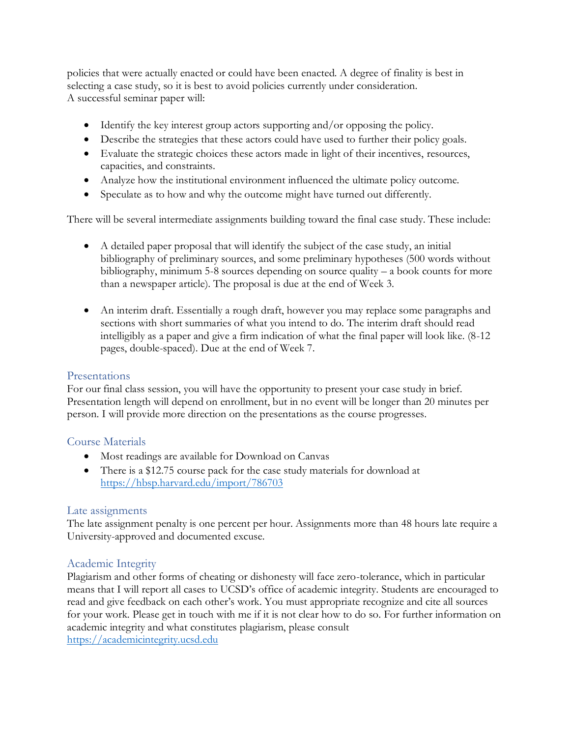policies that were actually enacted or could have been enacted. A degree of finality is best in selecting a case study, so it is best to avoid policies currently under consideration. A successful seminar paper will:

- Identify the key interest group actors supporting and/or opposing the policy.
- Describe the strategies that these actors could have used to further their policy goals.
- Evaluate the strategic choices these actors made in light of their incentives, resources, capacities, and constraints.
- Analyze how the institutional environment influenced the ultimate policy outcome.
- Speculate as to how and why the outcome might have turned out differently.

There will be several intermediate assignments building toward the final case study. These include:

- A detailed paper proposal that will identify the subject of the case study, an initial bibliography of preliminary sources, and some preliminary hypotheses (500 words without bibliography, minimum 5-8 sources depending on source quality – a book counts for more than a newspaper article). The proposal is due at the end of Week 3.
- An interim draft. Essentially a rough draft, however you may replace some paragraphs and sections with short summaries of what you intend to do. The interim draft should read intelligibly as a paper and give a firm indication of what the final paper will look like. (8-12 pages, double-spaced). Due at the end of Week 7.

# Presentations

For our final class session, you will have the opportunity to present your case study in brief. Presentation length will depend on enrollment, but in no event will be longer than 20 minutes per person. I will provide more direction on the presentations as the course progresses.

# Course Materials

- Most readings are available for Download on Canvas
- There is a \$12.75 course pack for the case study materials for download at <https://hbsp.harvard.edu/import/786703>

#### Late assignments

The late assignment penalty is one percent per hour. Assignments more than 48 hours late require a University-approved and documented excuse.

# Academic Integrity

Plagiarism and other forms of cheating or dishonesty will face zero-tolerance, which in particular means that I will report all cases to UCSD's office of academic integrity. Students are encouraged to read and give feedback on each other's work. You must appropriate recognize and cite all sources for your work. Please get in touch with me if it is not clear how to do so. For further information on academic integrity and what constitutes plagiarism, please consult [https://academicintegrity.ucsd.edu](https://academicintegrity.ucsd.edu/)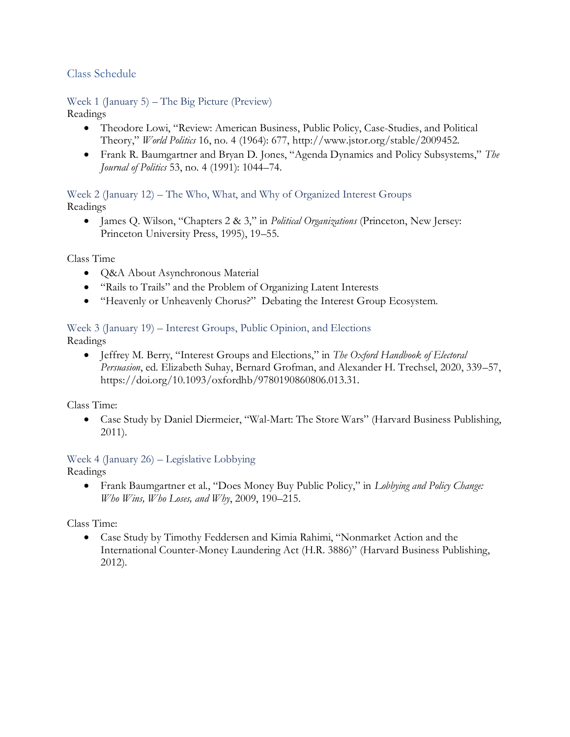# Class Schedule

Week 1 (January 5) – The Big Picture (Preview)

Readings

- Theodore Lowi, "Review: American Business, Public Policy, Case-Studies, and Political Theory," *World Politics* 16, no. 4 (1964): 677, http://www.jstor.org/stable/2009452.
- Frank R. Baumgartner and Bryan D. Jones, "Agenda Dynamics and Policy Subsystems," *The Journal of Politics* 53, no. 4 (1991): 1044–74.

Week 2 (January 12) – The Who, What, and Why of Organized Interest Groups Readings

• James Q. Wilson, "Chapters 2 & 3," in *Political Organizations* (Princeton, New Jersey: Princeton University Press, 1995), 19–55.

Class Time

- Q&A About Asynchronous Material
- "Rails to Trails" and the Problem of Organizing Latent Interests
- "Heavenly or Unheavenly Chorus?" Debating the Interest Group Ecosystem.

#### Week 3 (January 19) – Interest Groups, Public Opinion, and Elections

Readings

• Jeffrey M. Berry, "Interest Groups and Elections," in *The Oxford Handbook of Electoral Persuasion*, ed. Elizabeth Suhay, Bernard Grofman, and Alexander H. Trechsel, 2020, 339–57, https://doi.org/10.1093/oxfordhb/9780190860806.013.31.

Class Time:

• Case Study by Daniel Diermeier, "Wal-Mart: The Store Wars" (Harvard Business Publishing, 2011).

Week 4 (January 26) – Legislative Lobbying Readings

• Frank Baumgartner et al., "Does Money Buy Public Policy," in *Lobbying and Policy Change: Who Wins, Who Loses, and Why*, 2009, 190–215.

Class Time:

• Case Study by Timothy Feddersen and Kimia Rahimi, "Nonmarket Action and the International Counter-Money Laundering Act (H.R. 3886)" (Harvard Business Publishing, 2012).